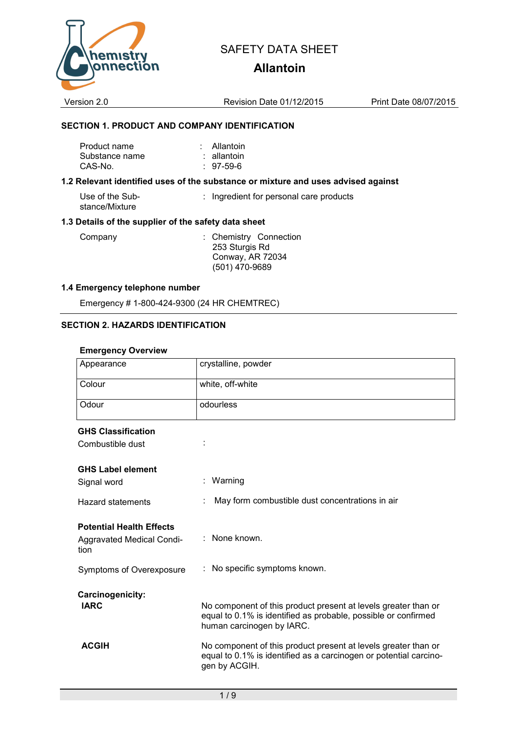

# **Allantoin**

Version 2.0 Revision Date 01/12/2015 Print Date 08/07/2015

### **SECTION 1. PRODUCT AND COMPANY IDENTIFICATION**

| Product name   | : Allantoin |
|----------------|-------------|
| Substance name | : allantoin |
| CAS-No.        | $: 97-59-6$ |

#### **1.2 Relevant identified uses of the substance or mixture and uses advised against**

Use of the Substance/Mixture : Ingredient for personal care products

### **1.3 Details of the supplier of the safety data sheet**

Company : Chemistry Connection 253 Sturgis Rd Conway, AR 72034 (501) 470-9689

#### **1.4 Emergency telephone number**

Emergency # 1-800-424-9300 (24 HR CHEMTREC)

### **SECTION 2. HAZARDS IDENTIFICATION**

#### **Emergency Overview**

| Appearance                        | crystalline, powder                                                                                                                                           |  |
|-----------------------------------|---------------------------------------------------------------------------------------------------------------------------------------------------------------|--|
| Colour                            | white, off-white                                                                                                                                              |  |
| Odour                             | odourless                                                                                                                                                     |  |
| <b>GHS Classification</b>         |                                                                                                                                                               |  |
| Combustible dust                  |                                                                                                                                                               |  |
| <b>GHS Label element</b>          |                                                                                                                                                               |  |
| Signal word                       | : Warning                                                                                                                                                     |  |
| Hazard statements                 | May form combustible dust concentrations in air                                                                                                               |  |
| <b>Potential Health Effects</b>   |                                                                                                                                                               |  |
| Aggravated Medical Condi-<br>tion | : None known.                                                                                                                                                 |  |
| Symptoms of Overexposure          | No specific symptoms known.                                                                                                                                   |  |
| Carcinogenicity:                  |                                                                                                                                                               |  |
| <b>IARC</b>                       | No component of this product present at levels greater than or<br>equal to 0.1% is identified as probable, possible or confirmed<br>human carcinogen by IARC. |  |
| <b>ACGIH</b>                      | No component of this product present at levels greater than or<br>equal to 0.1% is identified as a carcinogen or potential carcino-<br>gen by ACGIH.          |  |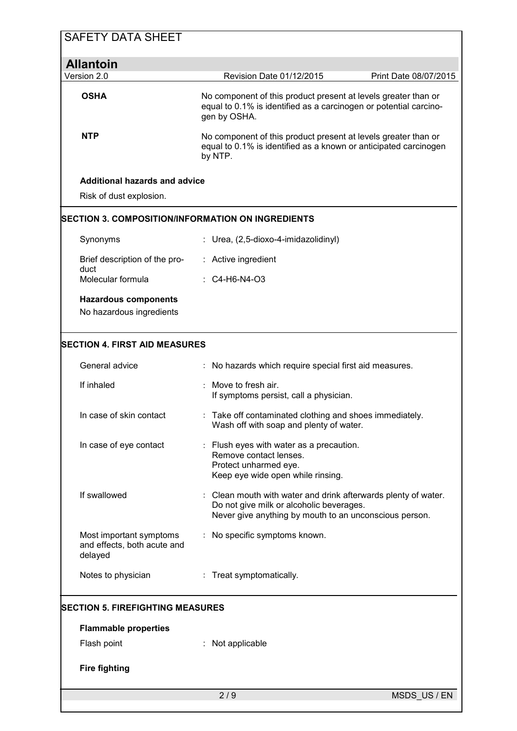| <b>SAFETY DATA SHEET</b>                                          |                                                                                                                                                                    |
|-------------------------------------------------------------------|--------------------------------------------------------------------------------------------------------------------------------------------------------------------|
| <b>Allantoin</b>                                                  |                                                                                                                                                                    |
| Version 2.0                                                       | Revision Date 01/12/2015<br>Print Date 08/07/2015                                                                                                                  |
| <b>OSHA</b>                                                       | No component of this product present at levels greater than or<br>equal to 0.1% is identified as a carcinogen or potential carcino-<br>gen by OSHA.                |
| <b>NTP</b>                                                        | No component of this product present at levels greater than or<br>equal to 0.1% is identified as a known or anticipated carcinogen<br>by NTP.                      |
| <b>Additional hazards and advice</b><br>Risk of dust explosion.   |                                                                                                                                                                    |
|                                                                   | SECTION 3. COMPOSITION/INFORMATION ON INGREDIENTS                                                                                                                  |
| Synonyms                                                          | Urea, (2,5-dioxo-4-imidazolidinyl)                                                                                                                                 |
| Brief description of the pro-<br>duct                             | : Active ingredient                                                                                                                                                |
| Molecular formula                                                 | $\therefore$ C4-H6-N4-O3                                                                                                                                           |
| <b>Hazardous components</b><br>No hazardous ingredients           |                                                                                                                                                                    |
| <b>SECTION 4. FIRST AID MEASURES</b>                              |                                                                                                                                                                    |
| General advice                                                    | : No hazards which require special first aid measures.                                                                                                             |
| If inhaled                                                        | : Move to fresh air.<br>If symptoms persist, call a physician.                                                                                                     |
| In case of skin contact                                           | : Take off contaminated clothing and shoes immediately.<br>Wash off with soap and plenty of water.                                                                 |
| In case of eye contact                                            | : Flush eyes with water as a precaution.<br>Remove contact lenses.<br>Protect unharmed eye.<br>Keep eye wide open while rinsing.                                   |
| If swallowed                                                      | Clean mouth with water and drink afterwards plenty of water.<br>Do not give milk or alcoholic beverages.<br>Never give anything by mouth to an unconscious person. |
| Most important symptoms<br>and effects, both acute and<br>delayed | No specific symptoms known.                                                                                                                                        |
| Notes to physician                                                | : Treat symptomatically.                                                                                                                                           |
| <b>SECTION 5. FIREFIGHTING MEASURES</b>                           |                                                                                                                                                                    |
| <b>Flammable properties</b>                                       |                                                                                                                                                                    |
| Flash point                                                       | Not applicable                                                                                                                                                     |
| <b>Fire fighting</b>                                              |                                                                                                                                                                    |
|                                                                   | 2/9<br>MSDS_US / EN                                                                                                                                                |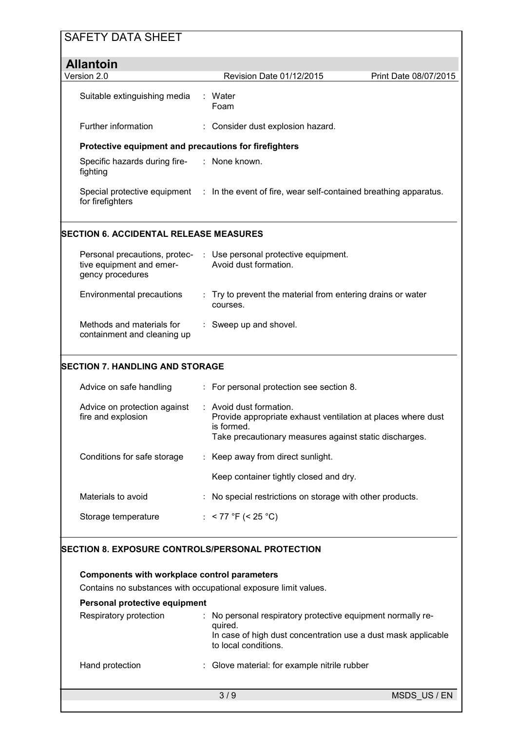| <b>SAFETY DATA SHEET</b>                                                                                               |                                                         |                                                                                                                                                                 |                       |  |  |  |
|------------------------------------------------------------------------------------------------------------------------|---------------------------------------------------------|-----------------------------------------------------------------------------------------------------------------------------------------------------------------|-----------------------|--|--|--|
| <b>Allantoin</b>                                                                                                       |                                                         |                                                                                                                                                                 |                       |  |  |  |
| Version 2.0                                                                                                            |                                                         | Revision Date 01/12/2015                                                                                                                                        | Print Date 08/07/2015 |  |  |  |
| Suitable extinguishing media                                                                                           |                                                         | : Water<br>Foam                                                                                                                                                 |                       |  |  |  |
| <b>Further information</b>                                                                                             |                                                         | : Consider dust explosion hazard.                                                                                                                               |                       |  |  |  |
| Protective equipment and precautions for firefighters                                                                  |                                                         |                                                                                                                                                                 |                       |  |  |  |
| Specific hazards during fire-<br>fighting                                                                              |                                                         | : None known.                                                                                                                                                   |                       |  |  |  |
| for firefighters                                                                                                       |                                                         | Special protective equipment : In the event of fire, wear self-contained breathing apparatus.                                                                   |                       |  |  |  |
| SECTION 6. ACCIDENTAL RELEASE MEASURES                                                                                 |                                                         |                                                                                                                                                                 |                       |  |  |  |
| tive equipment and emer-<br>gency procedures                                                                           |                                                         | Personal precautions, protec- : Use personal protective equipment.<br>Avoid dust formation.                                                                     |                       |  |  |  |
| Environmental precautions                                                                                              |                                                         | : Try to prevent the material from entering drains or water<br>courses.                                                                                         |                       |  |  |  |
| Methods and materials for<br>containment and cleaning up                                                               |                                                         | : Sweep up and shovel.                                                                                                                                          |                       |  |  |  |
| <b>SECTION 7. HANDLING AND STORAGE</b>                                                                                 |                                                         |                                                                                                                                                                 |                       |  |  |  |
| Advice on safe handling                                                                                                |                                                         | : For personal protection see section 8.                                                                                                                        |                       |  |  |  |
| Advice on protection against<br>fire and explosion                                                                     |                                                         | : Avoid dust formation.<br>Provide appropriate exhaust ventilation at places where dust<br>is formed.<br>Take precautionary measures against static discharges. |                       |  |  |  |
| Conditions for safe storage                                                                                            |                                                         | : Keep away from direct sunlight.                                                                                                                               |                       |  |  |  |
|                                                                                                                        |                                                         | Keep container tightly closed and dry.                                                                                                                          |                       |  |  |  |
| Materials to avoid                                                                                                     |                                                         | : No special restrictions on storage with other products.                                                                                                       |                       |  |  |  |
| Storage temperature                                                                                                    |                                                         | : < 77 °F (< 25 °C)                                                                                                                                             |                       |  |  |  |
|                                                                                                                        | <b>SECTION 8. EXPOSURE CONTROLS/PERSONAL PROTECTION</b> |                                                                                                                                                                 |                       |  |  |  |
| <b>Components with workplace control parameters</b><br>Contains no substances with occupational exposure limit values. |                                                         |                                                                                                                                                                 |                       |  |  |  |
| Personal protective equipment                                                                                          |                                                         |                                                                                                                                                                 |                       |  |  |  |
| Respiratory protection                                                                                                 |                                                         | No personal respiratory protective equipment normally re-<br>quired.<br>In case of high dust concentration use a dust mask applicable<br>to local conditions.   |                       |  |  |  |
| Hand protection                                                                                                        |                                                         | : Glove material: for example nitrile rubber                                                                                                                    |                       |  |  |  |
|                                                                                                                        |                                                         | 3/9                                                                                                                                                             | MSDS US/EN            |  |  |  |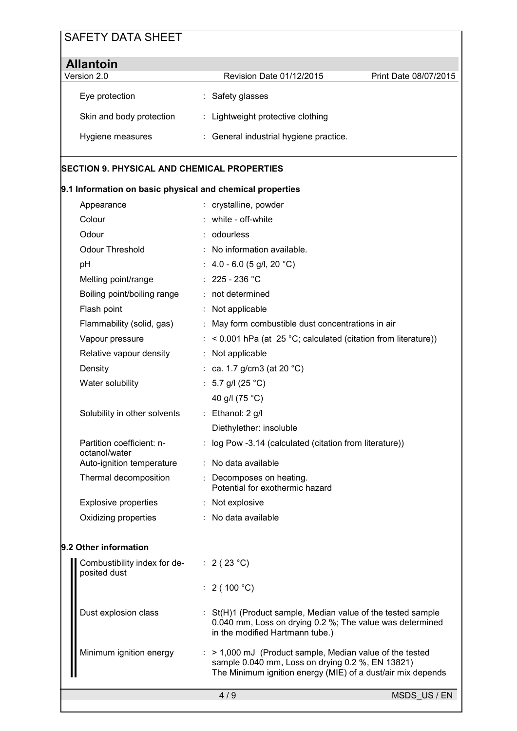| <b>Allantoin</b>         |                                        |                       |
|--------------------------|----------------------------------------|-----------------------|
| Version 2.0              | <b>Revision Date 01/12/2015</b>        | Print Date 08/07/2015 |
| Eye protection           | : Safety glasses                       |                       |
| Skin and body protection | : Lightweight protective clothing      |                       |
| Hygiene measures         | : General industrial hygiene practice. |                       |

### **SECTION 9. PHYSICAL AND CHEMICAL PROPERTIES**

## **9.1 Information on basic physical and chemical properties**

| Appearance                                   | : crystalline, powder                                                                                                                                      |
|----------------------------------------------|------------------------------------------------------------------------------------------------------------------------------------------------------------|
| Colour                                       | white - off-white                                                                                                                                          |
| Odour                                        | : odourless                                                                                                                                                |
| <b>Odour Threshold</b>                       | No information available.                                                                                                                                  |
| pH                                           | : $4.0 - 6.0$ (5 g/l, 20 °C)                                                                                                                               |
| Melting point/range                          | : $225 - 236$ °C                                                                                                                                           |
| Boiling point/boiling range                  | : not determined                                                                                                                                           |
| Flash point                                  | : Not applicable                                                                                                                                           |
| Flammability (solid, gas)                    | : May form combustible dust concentrations in air                                                                                                          |
| Vapour pressure                              | $:$ < 0.001 hPa (at 25 °C; calculated (citation from literature))                                                                                          |
| Relative vapour density                      | : Not applicable                                                                                                                                           |
| Density                                      | : ca. 1.7 g/cm3 (at 20 $^{\circ}$ C)                                                                                                                       |
| Water solubility                             | : 5.7 g/l (25 °C)                                                                                                                                          |
|                                              | 40 g/l (75 °C)                                                                                                                                             |
| Solubility in other solvents                 | : Ethanol: 2 g/l                                                                                                                                           |
|                                              | Diethylether: insoluble                                                                                                                                    |
| Partition coefficient: n-<br>octanol/water   | : log Pow -3.14 (calculated (citation from literature))                                                                                                    |
| Auto-ignition temperature                    | : No data available                                                                                                                                        |
| Thermal decomposition                        | : Decomposes on heating.<br>Potential for exothermic hazard                                                                                                |
| <b>Explosive properties</b>                  | : Not explosive                                                                                                                                            |
| Oxidizing properties                         | : No data available                                                                                                                                        |
| 9.2 Other information                        |                                                                                                                                                            |
| Combustibility index for de-<br>posited dust | : $2(23 °C)$                                                                                                                                               |
|                                              | : $2(100 °C)$                                                                                                                                              |
| Dust explosion class                         | : St(H)1 (Product sample, Median value of the tested sample<br>0.040 mm, Loss on drying 0.2 %; The value was determined<br>in the modified Hartmann tube.) |

| Minimum ignition energy | $:$ > 1,000 mJ (Product sample, Median value of the tested  |
|-------------------------|-------------------------------------------------------------|
|                         | sample $0.040$ mm, Loss on drying $0.2$ %, EN 13821)        |
|                         | The Minimum ignition energy (MIE) of a dust/air mix depends |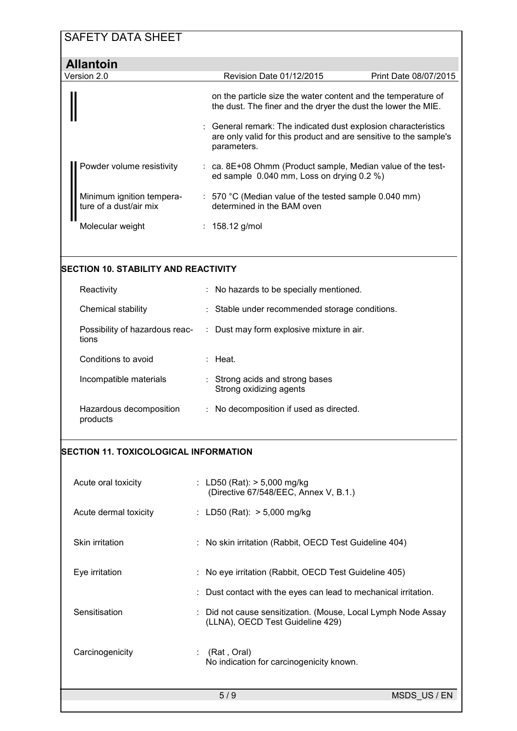| <b>SAFETY DATA SHEET</b>                            |                                                                                                          |                                                                                                                                   |
|-----------------------------------------------------|----------------------------------------------------------------------------------------------------------|-----------------------------------------------------------------------------------------------------------------------------------|
| <b>Allantoin</b>                                    |                                                                                                          |                                                                                                                                   |
| Version 2.0                                         | Revision Date 01/12/2015                                                                                 | Print Date 08/07/2015                                                                                                             |
|                                                     | the dust. The finer and the dryer the dust the lower the MIE.                                            | on the particle size the water content and the temperature of                                                                     |
|                                                     | parameters.                                                                                              | General remark: The indicated dust explosion characteristics<br>are only valid for this product and are sensitive to the sample's |
| Powder volume resistivity                           | : ca. 8E+08 Ohmm (Product sample, Median value of the test-<br>ed sample 0.040 mm, Loss on drying 0.2 %) |                                                                                                                                   |
| Minimum ignition tempera-<br>ture of a dust/air mix | : 570 °C (Median value of the tested sample 0.040 mm)<br>determined in the BAM oven                      |                                                                                                                                   |
| Molecular weight                                    | : $158.12$ g/mol                                                                                         |                                                                                                                                   |
|                                                     |                                                                                                          |                                                                                                                                   |
| SECTION 10. STABILITY AND REACTIVITY                |                                                                                                          |                                                                                                                                   |
| Reactivity                                          | : No hazards to be specially mentioned.                                                                  |                                                                                                                                   |
| Chemical stability                                  | Stable under recommended storage conditions.                                                             |                                                                                                                                   |
| Possibility of hazardous reac-<br>tions             | Dust may form explosive mixture in air.<br>÷.                                                            |                                                                                                                                   |
| Conditions to avoid                                 | : Heat.                                                                                                  |                                                                                                                                   |
| Incompatible materials                              | : Strong acids and strong bases<br>Strong oxidizing agents                                               |                                                                                                                                   |
| products                                            | Hazardous decomposition : No decomposition if used as directed.                                          |                                                                                                                                   |
|                                                     |                                                                                                          |                                                                                                                                   |
| SECTION 11. TOXICOLOGICAL INFORMATION               |                                                                                                          |                                                                                                                                   |
| Acute oral toxicity                                 | : LD50 (Rat): $> 5,000$ mg/kg<br>(Directive 67/548/EEC, Annex V, B.1.)                                   |                                                                                                                                   |
| Acute dermal toxicity                               | : LD50 (Rat): $> 5,000$ mg/kg                                                                            |                                                                                                                                   |
| Skin irritation                                     | No skin irritation (Rabbit, OECD Test Guideline 404)                                                     |                                                                                                                                   |
| Eye irritation                                      | No eye irritation (Rabbit, OECD Test Guideline 405)                                                      |                                                                                                                                   |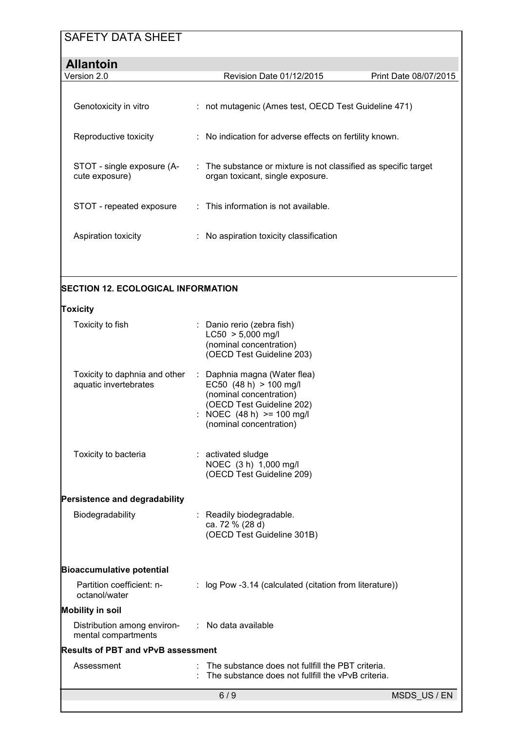| <b>Allantoin</b>                             |                                                                                                                |                       |
|----------------------------------------------|----------------------------------------------------------------------------------------------------------------|-----------------------|
| Version 2.0                                  | Revision Date 01/12/2015                                                                                       | Print Date 08/07/2015 |
| Genotoxicity in vitro                        | : not mutagenic (Ames test, OECD Test Guideline 471)                                                           |                       |
| Reproductive toxicity                        | : No indication for adverse effects on fertility known.                                                        |                       |
| STOT - single exposure (A-<br>cute exposure) | $\therefore$ The substance or mixture is not classified as specific target<br>organ toxicant, single exposure. |                       |
| STOT - repeated exposure                     | $:$ This information is not available.                                                                         |                       |
| Aspiration toxicity                          | $\therefore$ No aspiration toxicity classification                                                             |                       |
|                                              |                                                                                                                |                       |

## **SECTION 12. ECOLOGICAL INFORMATION**

### **Toxicity**

| Toxicity to fish                                                       | : Danio rerio (zebra fish)<br>$LC50 > 5,000$ mg/l<br>(nominal concentration)<br>(OECD Test Guideline 203)                                                                |
|------------------------------------------------------------------------|--------------------------------------------------------------------------------------------------------------------------------------------------------------------------|
| Toxicity to daphnia and other<br>aquatic invertebrates                 | : Daphnia magna (Water flea)<br>EC50 $(48 h) > 100$ mg/l<br>(nominal concentration)<br>(OECD Test Guideline 202)<br>: NOEC (48 h) >= 100 mg/l<br>(nominal concentration) |
| Toxicity to bacteria                                                   | : activated sludge<br>NOEC (3 h) 1,000 mg/l<br>(OECD Test Guideline 209)                                                                                                 |
| Persistence and degradability                                          |                                                                                                                                                                          |
| Biodegradability                                                       | : Readily biodegradable.<br>ca. 72 % (28 d)<br>(OECD Test Guideline 301B)                                                                                                |
| <b>Bioaccumulative potential</b>                                       |                                                                                                                                                                          |
| Partition coefficient: n-<br>octanol/water                             | : log Pow -3.14 (calculated (citation from literature))                                                                                                                  |
| <b>Mobility in soil</b>                                                |                                                                                                                                                                          |
| Distribution among environ- : No data available<br>mental compartments |                                                                                                                                                                          |
| <b>Results of PBT and vPvB assessment</b>                              |                                                                                                                                                                          |
| Assessment                                                             | The substance does not fullfill the PBT criteria.<br>The substance does not fullfill the vPvB criteria.                                                                  |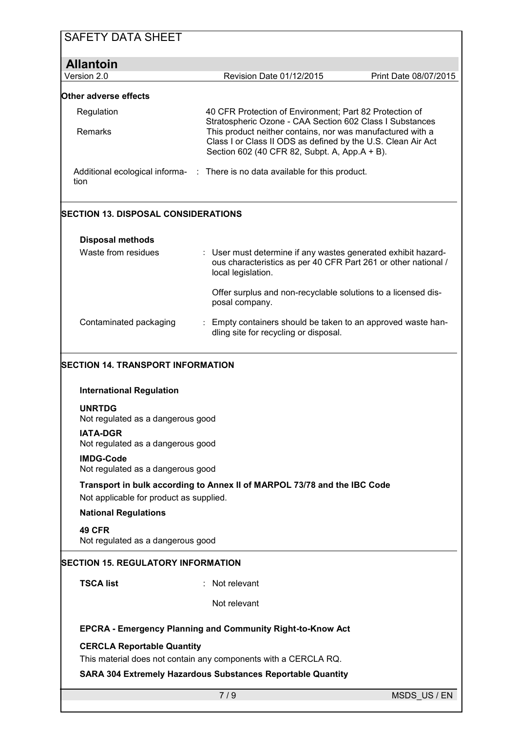| <b>SAFETY DATA SHEET</b>                              |                                                                                                                                                                             |                       |
|-------------------------------------------------------|-----------------------------------------------------------------------------------------------------------------------------------------------------------------------------|-----------------------|
| <b>Allantoin</b>                                      |                                                                                                                                                                             |                       |
| Version 2.0                                           | Revision Date 01/12/2015                                                                                                                                                    | Print Date 08/07/2015 |
| Other adverse effects                                 |                                                                                                                                                                             |                       |
| Regulation                                            | 40 CFR Protection of Environment; Part 82 Protection of<br>Stratospheric Ozone - CAA Section 602 Class I Substances                                                         |                       |
| Remarks                                               | This product neither contains, nor was manufactured with a<br>Class I or Class II ODS as defined by the U.S. Clean Air Act<br>Section 602 (40 CFR 82, Subpt. A, App.A + B). |                       |
| tion                                                  | Additional ecological informa- : There is no data available for this product.                                                                                               |                       |
| <b>SECTION 13. DISPOSAL CONSIDERATIONS</b>            |                                                                                                                                                                             |                       |
| <b>Disposal methods</b>                               |                                                                                                                                                                             |                       |
| Waste from residues                                   | : User must determine if any wastes generated exhibit hazard-<br>ous characteristics as per 40 CFR Part 261 or other national /<br>local legislation.                       |                       |
|                                                       | Offer surplus and non-recyclable solutions to a licensed dis-<br>posal company.                                                                                             |                       |
| Contaminated packaging                                | Empty containers should be taken to an approved waste han-<br>dling site for recycling or disposal.                                                                         |                       |
| SECTION 14. TRANSPORT INFORMATION                     |                                                                                                                                                                             |                       |
| <b>International Regulation</b>                       |                                                                                                                                                                             |                       |
| <b>UNRTDG</b><br>Not regulated as a dangerous good    |                                                                                                                                                                             |                       |
| <b>IATA-DGR</b><br>Not regulated as a dangerous good  |                                                                                                                                                                             |                       |
| <b>IMDG-Code</b><br>Not regulated as a dangerous good |                                                                                                                                                                             |                       |
| Not applicable for product as supplied.               | Transport in bulk according to Annex II of MARPOL 73/78 and the IBC Code                                                                                                    |                       |
| <b>National Regulations</b>                           |                                                                                                                                                                             |                       |
| <b>49 CFR</b><br>Not regulated as a dangerous good    |                                                                                                                                                                             |                       |
| <b>SECTION 15. REGULATORY INFORMATION</b>             |                                                                                                                                                                             |                       |
| <b>TSCA list</b>                                      | Not relevant                                                                                                                                                                |                       |
|                                                       | Not relevant                                                                                                                                                                |                       |
|                                                       | EPCRA - Emergency Planning and Community Right-to-Know Act                                                                                                                  |                       |
| <b>CERCLA Reportable Quantity</b>                     |                                                                                                                                                                             |                       |
|                                                       | This material does not contain any components with a CERCLA RQ.                                                                                                             |                       |
|                                                       | <b>SARA 304 Extremely Hazardous Substances Reportable Quantity</b>                                                                                                          |                       |
|                                                       | 7/9                                                                                                                                                                         | MSDS US/EN            |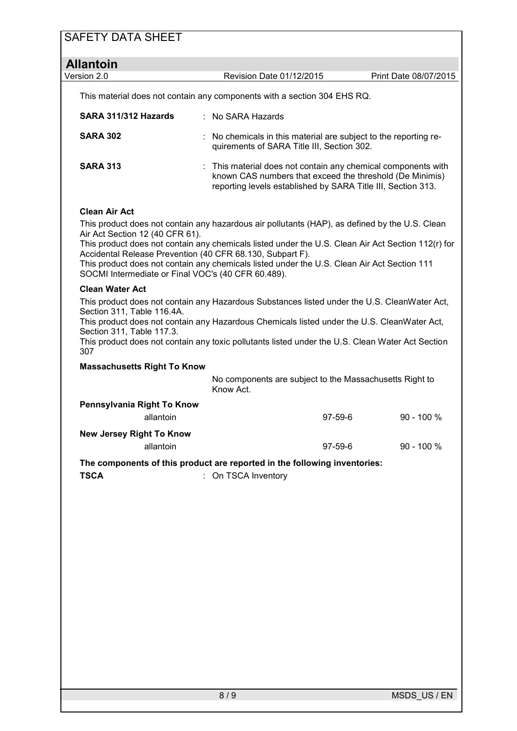| <b>Allantoin</b>                                                                         |                                                                                                                                                                                                                                                                                                                                                                  |               |                       |  |  |  |
|------------------------------------------------------------------------------------------|------------------------------------------------------------------------------------------------------------------------------------------------------------------------------------------------------------------------------------------------------------------------------------------------------------------------------------------------------------------|---------------|-----------------------|--|--|--|
| Version 2.0                                                                              | Revision Date 01/12/2015                                                                                                                                                                                                                                                                                                                                         |               | Print Date 08/07/2015 |  |  |  |
| This material does not contain any components with a section 304 EHS RQ.                 |                                                                                                                                                                                                                                                                                                                                                                  |               |                       |  |  |  |
| SARA 311/312 Hazards                                                                     | No SARA Hazards                                                                                                                                                                                                                                                                                                                                                  |               |                       |  |  |  |
| <b>SARA 302</b>                                                                          | : No chemicals in this material are subject to the reporting re-<br>quirements of SARA Title III, Section 302.<br>This material does not contain any chemical components with<br>known CAS numbers that exceed the threshold (De Minimis)<br>reporting levels established by SARA Title III, Section 313.                                                        |               |                       |  |  |  |
| <b>SARA 313</b>                                                                          |                                                                                                                                                                                                                                                                                                                                                                  |               |                       |  |  |  |
| <b>Clean Air Act</b>                                                                     |                                                                                                                                                                                                                                                                                                                                                                  |               |                       |  |  |  |
| Air Act Section 12 (40 CFR 61).<br>SOCMI Intermediate or Final VOC's (40 CFR 60.489).    | This product does not contain any hazardous air pollutants (HAP), as defined by the U.S. Clean<br>This product does not contain any chemicals listed under the U.S. Clean Air Act Section 112(r) for<br>Accidental Release Prevention (40 CFR 68.130, Subpart F).<br>This product does not contain any chemicals listed under the U.S. Clean Air Act Section 111 |               |                       |  |  |  |
| <b>Clean Water Act</b>                                                                   |                                                                                                                                                                                                                                                                                                                                                                  |               |                       |  |  |  |
| Section 311, Table 116.4A.<br>Section 311, Table 117.3.<br>307                           | This product does not contain any Hazardous Substances listed under the U.S. CleanWater Act,<br>This product does not contain any Hazardous Chemicals listed under the U.S. CleanWater Act,<br>This product does not contain any toxic pollutants listed under the U.S. Clean Water Act Section                                                                  |               |                       |  |  |  |
| <b>Massachusetts Right To Know</b>                                                       |                                                                                                                                                                                                                                                                                                                                                                  |               |                       |  |  |  |
|                                                                                          | No components are subject to the Massachusetts Right to<br>Know Act.                                                                                                                                                                                                                                                                                             |               |                       |  |  |  |
| Pennsylvania Right To Know<br>allantoin                                                  |                                                                                                                                                                                                                                                                                                                                                                  | $97 - 59 - 6$ | $90 - 100 %$          |  |  |  |
| <b>New Jersey Right To Know</b><br>allantoin                                             |                                                                                                                                                                                                                                                                                                                                                                  | 97-59-6       | 90 - 100 %            |  |  |  |
| The components of this product are reported in the following inventories:<br><b>TSCA</b> | : On TSCA Inventory                                                                                                                                                                                                                                                                                                                                              |               |                       |  |  |  |
|                                                                                          |                                                                                                                                                                                                                                                                                                                                                                  |               |                       |  |  |  |